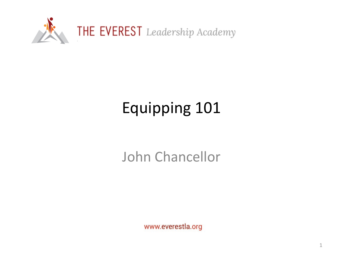

# Equipping 101

#### John Chancellor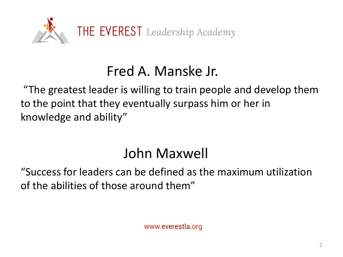

#### Fred A. Manske Jr.

"The greatest leader is willing to train people and develop them to the point that they eventually surpass him or her in knowledge and ability"

# John Maxwell

"Success for leaders can be defined as the maximum utilization of the abilities of those around them"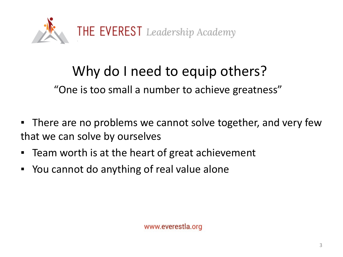

# Why do I need to equip others?

"One is too small a number to achieve greatness"

- **There are no problems we cannot solve together, and very few** that we can solve by ourselves
- Team worth is at the heart of great achievement
- You cannot do anything of real value alone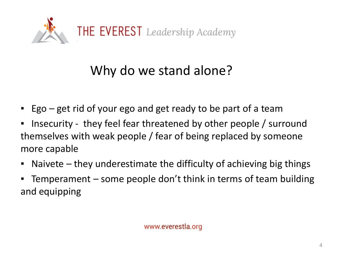

### Why do we stand alone?

- Ego get rid of your ego and get ready to be part of a team
- Insecurity they feel fear threatened by other people / surround themselves with weak people / fear of being replaced by someone more capable
- $\blacksquare$  Naivete they underestimate the difficulty of achieving big things
- **•** Temperament  $-$  some people don't think in terms of team building and equipping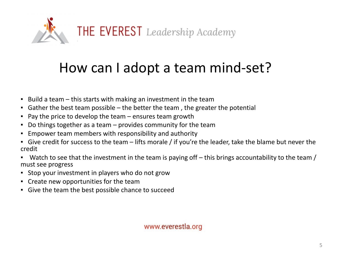

### How can I adopt a team mind-set?

- $\blacksquare$  Build a team this starts with making an investment in the team
- Gather the best team possible the better the team , the greater the potential
- $\blacksquare$  Pay the price to develop the team ensures team growth
- Do things together as a team provides community for the team
- Empower team members with responsibility and authority
- **Example 2** Give credit for success to the team lifts morale / if you're the leader, take the blame but never the credit
- **•** Watch to see that the investment in the team is paying off  $-$  this brings accountability to the team / must see progress
- Stop your investment in players who do not grow
- Create new opportunities for the team
- Give the team the best possible chance to succeed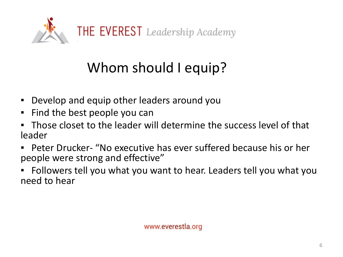

# Whom should I equip?

- Develop and equip other leaders around you
- Find the best people you can
- Those closet to the leader will determine the success level of that leader
- **Peter Drucker- "No executive has ever suffered because his or her** people were strong and effective"
- Followers tell you what you want to hear. Leaders tell you what you need to hear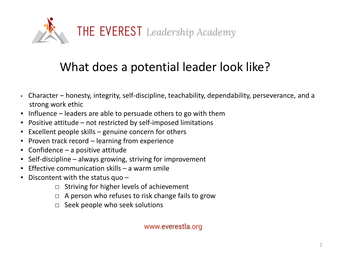

#### What does a potential leader look like?

- Character honesty, integrity, self-discipline, teachability, dependability, perseverance, and a strong work ethic
- $\blacksquare$  Influence leaders are able to persuade others to go with them
- Positive attitude not restricted by self-imposed limitations
- Excellent people skills genuine concern for others
- **Proven track record learning from experience**
- $\blacksquare$  Confidence a positive attitude
- Self-discipline always growing, striving for improvement
- **Effective communication skills a warm smile**
- **•** Discontent with the status quo  $-$ 
	- $\Box$  Striving for higher levels of achievement
	- $\Box$  A person who refuses to risk change fails to grow
	- □ Seek people who seek solutions